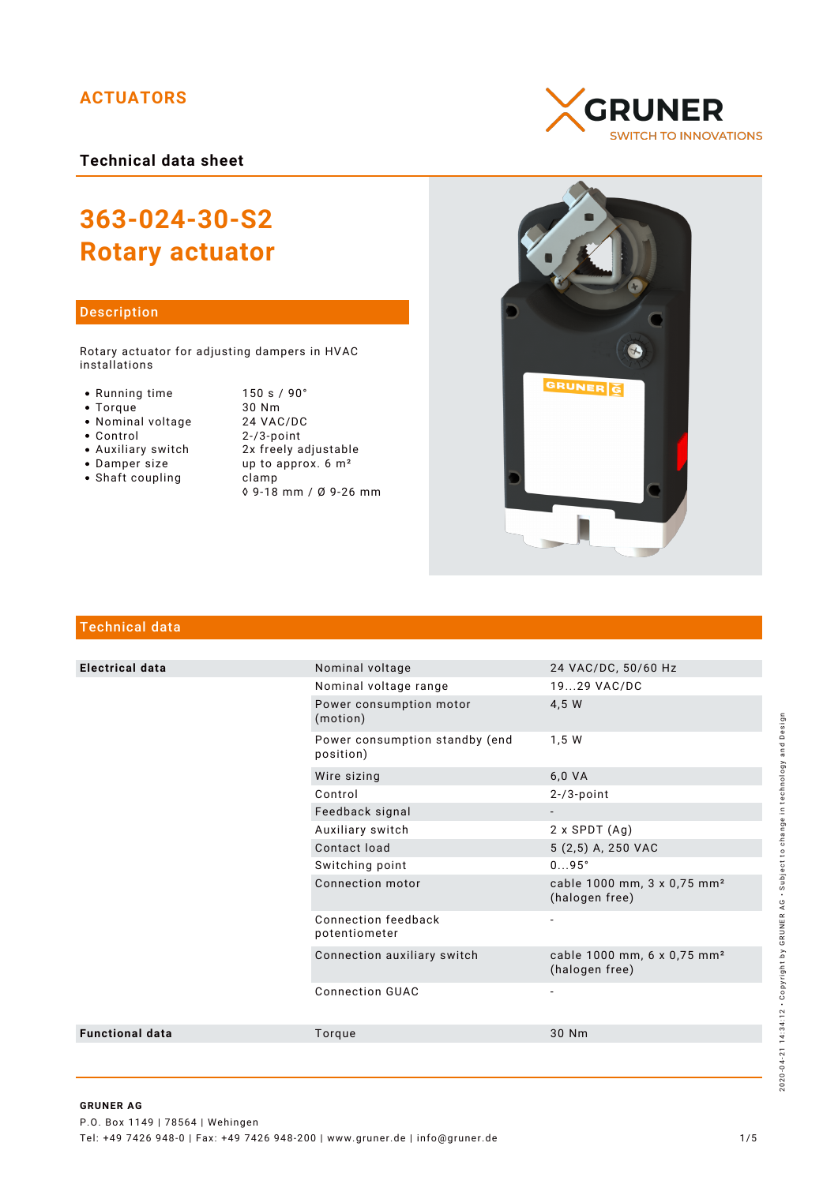# **ACTUATORS**

**Technical data sheet**

# **363-024-30-S2 Rotary actuator**

## Description

Rotary actuator for adjusting dampers in HVAC installations

- 
- 
- 
- Nominal voltage<br>• Control
- 
- 
- $\bullet$  Shaft coupling

• Running time 150 s / 90°<br>• Torque 30 Nm • Torque 30 Nm<br>• Nominal voltage 24 VAC/DC  $2 - / 3$ -point Auxiliary switch 2x freely adjustable • Damper size up to approx. 6 m<sup>2</sup><br>• Shaft coupling clamp ◊ 9-18 mm / Ø 9-26 mm





# Technical data

| <b>Electrical data</b> | Nominal voltage                             | 24 VAC/DC, 50/60 Hz                                       |
|------------------------|---------------------------------------------|-----------------------------------------------------------|
|                        | Nominal voltage range                       | 1929 VAC/DC                                               |
|                        | Power consumption motor<br>(motion)         | 4,5 W                                                     |
|                        | Power consumption standby (end<br>position) | 1,5 W                                                     |
|                        | Wire sizing                                 | 6,0 VA                                                    |
|                        | Control                                     | $2 - 73$ -point                                           |
|                        | Feedback signal                             |                                                           |
|                        | Auxiliary switch                            | $2 \times$ SPDT $(Ag)$                                    |
|                        | Contact load                                | 5 (2,5) A, 250 VAC                                        |
|                        | Switching point                             | $095^\circ$                                               |
|                        | Connection motor                            | cable 1000 mm, 3 x 0,75 mm <sup>2</sup><br>(halogen free) |
|                        | Connection feedback<br>potentiometer        | $\overline{\phantom{a}}$                                  |
|                        | Connection auxiliary switch                 | cable 1000 mm, 6 x 0,75 mm <sup>2</sup><br>(halogen free) |
|                        | <b>Connection GUAC</b>                      |                                                           |
| <b>Functional data</b> | Torque                                      | 30 Nm                                                     |
|                        |                                             |                                                           |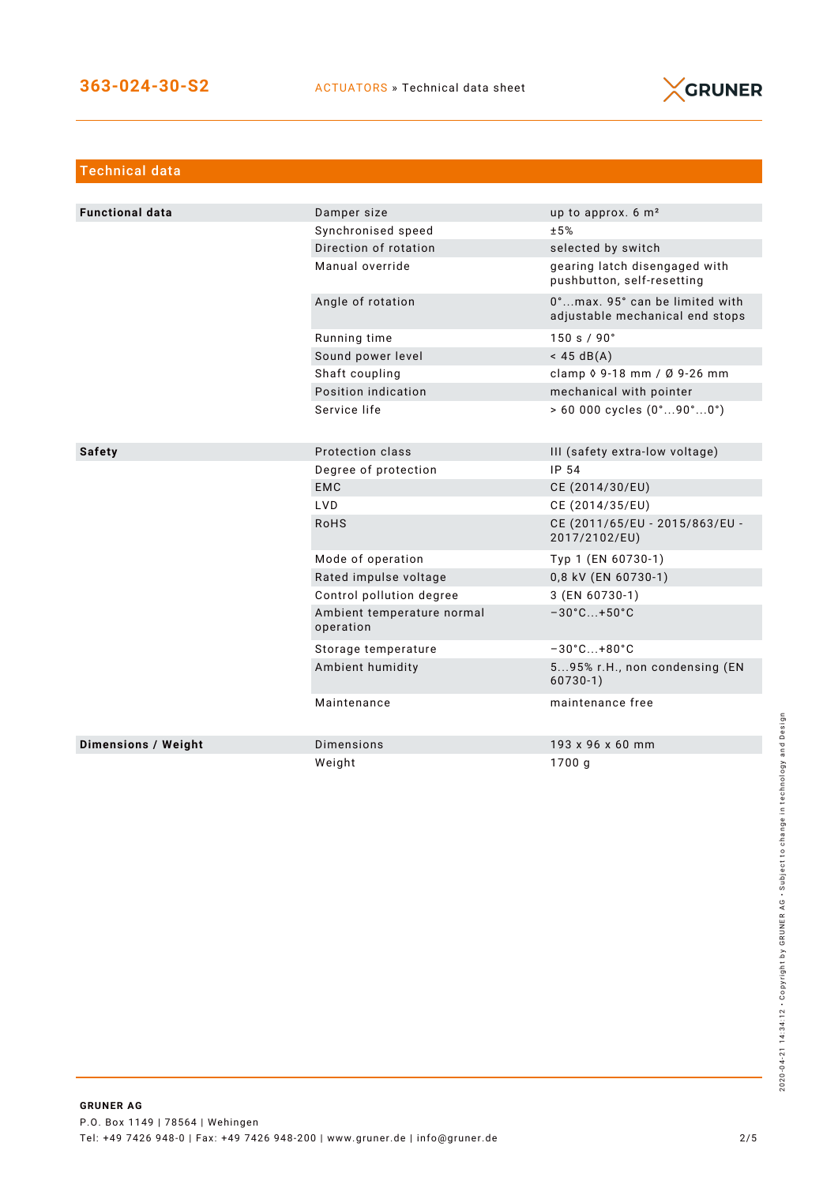

| <b>Technical data</b>      |                                         |                                                                   |
|----------------------------|-----------------------------------------|-------------------------------------------------------------------|
|                            |                                         |                                                                   |
| <b>Functional data</b>     | Damper size                             | up to approx. $6 \text{ m}^2$                                     |
|                            | Synchronised speed                      | ±5%                                                               |
|                            | Direction of rotation                   | selected by switch                                                |
|                            | Manual override                         | gearing latch disengaged with<br>pushbutton, self-resetting       |
|                            | Angle of rotation                       | 0°max. 95° can be limited with<br>adjustable mechanical end stops |
|                            | Running time                            | 150 s / 90°                                                       |
|                            | Sound power level                       | $<$ 45 dB(A)                                                      |
|                            | Shaft coupling                          | clamp $\sqrt{9} - 18$ mm / $\sqrt{9} - 26$ mm                     |
|                            | Position indication                     | mechanical with pointer                                           |
|                            | Service life                            | $> 60000$ cycles $(0^{\circ}90^{\circ}0^{\circ})$                 |
|                            |                                         |                                                                   |
| <b>Safety</b>              | Protection class                        | III (safety extra-low voltage)                                    |
|                            | Degree of protection                    | IP 54                                                             |
|                            | <b>EMC</b>                              | CE (2014/30/EU)                                                   |
|                            | <b>LVD</b>                              | CE (2014/35/EU)                                                   |
|                            | <b>RoHS</b>                             | CE (2011/65/EU - 2015/863/EU -<br>2017/2102/EU)                   |
|                            | Mode of operation                       | Typ 1 (EN 60730-1)                                                |
|                            | Rated impulse voltage                   | 0,8 kV (EN 60730-1)                                               |
|                            | Control pollution degree                | 3 (EN 60730-1)                                                    |
|                            | Ambient temperature normal<br>operation | $-30^{\circ}$ C +50 $^{\circ}$ C                                  |
|                            | Storage temperature                     | $-30^{\circ}$ C +80 $^{\circ}$ C                                  |
|                            | Ambient humidity                        | 595% r.H., non condensing (EN<br>$60730-1)$                       |
|                            | Maintenance                             | maintenance free                                                  |
| <b>Dimensions / Weight</b> | <b>Dimensions</b>                       | 193 x 96 x 60 mm                                                  |
|                            | Weight                                  | 1700 g                                                            |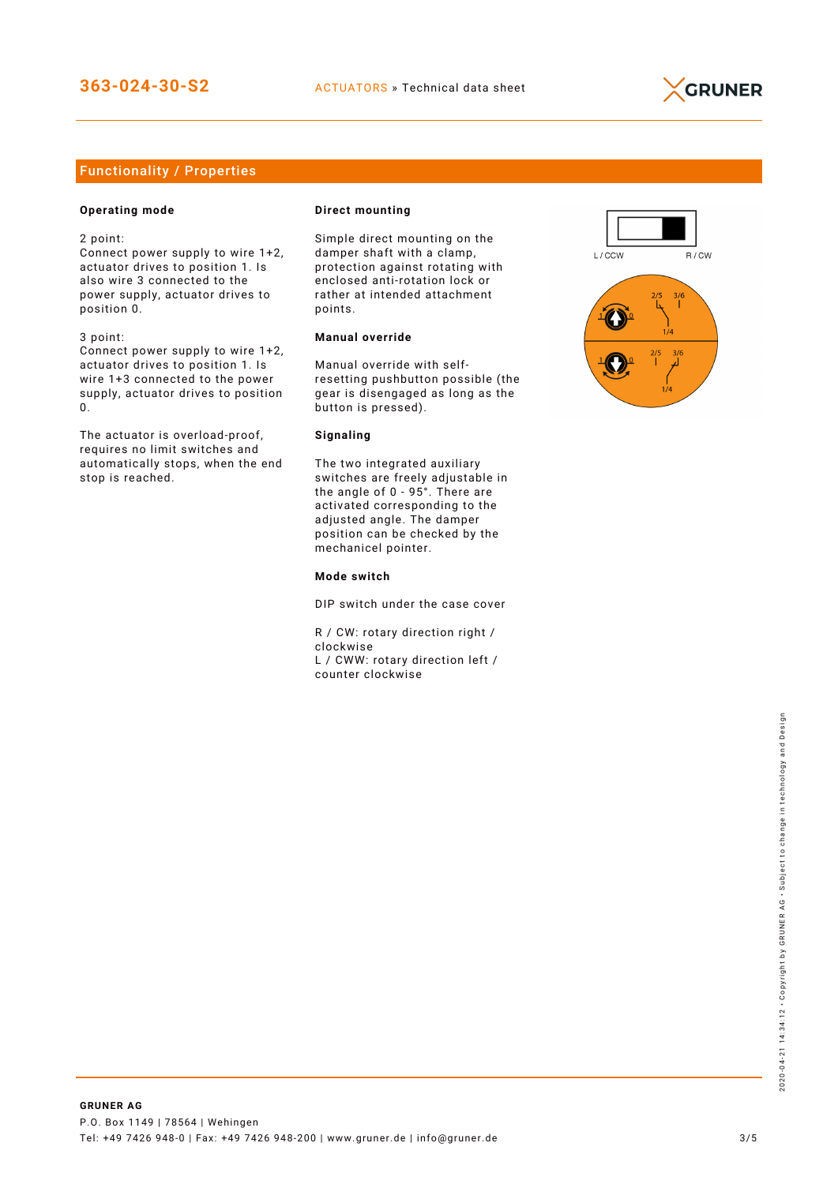

# Functionality / Properties

## **Operating mode**

2 point:

Connect power supply to wire 1+2, actuator drives to position 1. Is also wire 3 connected to the power supply, actuator drives to position 0.

3 point:

Connect power supply to wire 1+2, actuator drives to position 1. Is wire 1+3 connected to the power supply, actuator drives to position 0.

The actuator is overload-proof, requires no limit switches and automatically stops, when the end stop is reached.

#### **Direct mounting**

Simple direct mounting on the damper shaft with a clamp, protection against rotating with enclosed anti-rotation lock or rather at intended attachment points.

## **Manual override**

Manual override with selfresetting pushbutton possible (the gear is disengaged as long as the button is pressed).

#### **Signaling**

The two integrated auxiliary switches are freely adjustable in the angle of 0 - 95°. There are activated corresponding to the adjusted angle. The damper position can be checked by the mechanicel pointer.

#### **Mode switch**

DIP switch under the case cover

R / CW: rotary direction right / clockwise L / CWW: rotary direction left / counter clockwise

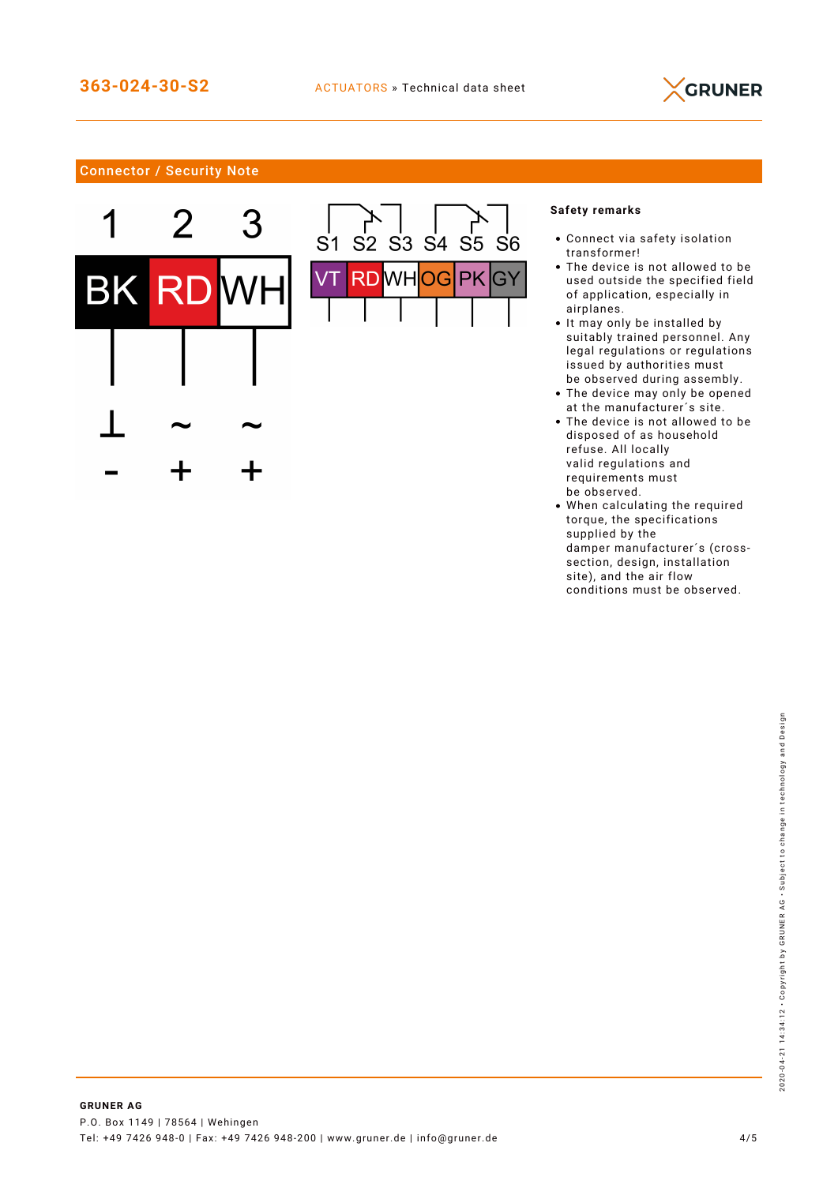

# Connector / Security Note





# **Safety remarks**

- Connect via safety isolation transformer!
- The device is not allowed to be used outside the specified field of application, especially in airplanes.
- It may only be installed by suitably trained personnel. Any legal regulations or regulations issued by authorities must be observed during assembly.
- The device may only be opened at the manufacturer´s site.
- The device is not allowed to be disposed of as household refuse. All locally valid regulations and requirements must be observed.
- When calculating the required torque, the specifications supplied by the damper manufacturer´s (crosssection, design, installation site), and the air flow conditions must be observed.